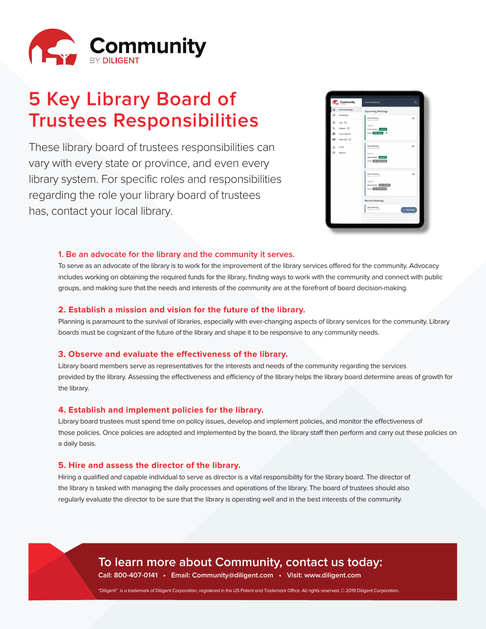

# **5 Key Library Board of Trustees Responsibilities**

These library board of trustees responsibilities can vary with every state or province, and even every library system. For specific roles and responsibilities regarding the role your library board of trustees has, contact your local library.



#### **1. Be an advocate for the library and the community it serves.**

To serve as an advocate of the library is to work for the improvement of the library services offered for the community. Advocacy includes working on obtaining the required funds for the library, finding ways to work with the community and connect with public groups, and making sure that the needs and interests of the community are at the forefront of board decision-making.

#### **2. Establish a mission and vision for the future of the library.**

Planning is paramount to the survival of libraries, especially with ever-changing aspects of library services for the community. Library boards must be cognizant of the future of the library and shape it to be responsive to any community needs.

#### **3. Observe and evaluate the effectiveness of the library.**

Library board members serve as representatives for the interests and needs of the community regarding the services provided by the library. Assessing the effectiveness and efficiency of the library helps the library board determine areas of growth for the library.

#### **4. Establish and implement policies for the library.**

Library board trustees must spend time on policy issues, develop and implement policies, and monitor the effectiveness of those policies. Once policies are adopted and implemented by the board, the library staff then perform and carry out these policies on a daily basis.

#### **5. Hire and assess the director of the library.**

Hiring a qualified and capable individual to serve as director is a vital responsibility for the library board. The director of the library is tasked with managing the daily processes and operations of the library. The board of trustees should also regularly evaluate the director to be sure that the library is operating well and in the best interests of the community.

> **To learn more about Community, contact us today: Call: 800-407-0141 • Email: Community@diligent.com • Visit: www.diligent.com**

"Diligent" is a trademark of Diligent Corporation, registered in the US Patent and Trademark Office. All rights reserved. © 2019 Diligent Corporation.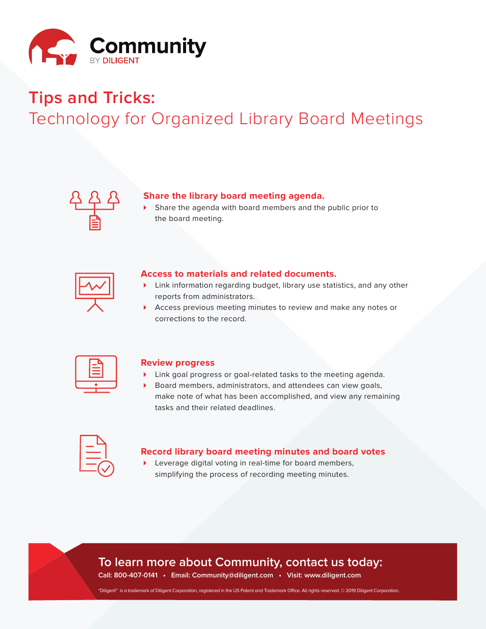

# **Tips and Tricks:** Technology for Organized Library Board Meetings



#### **Share the library board meeting agenda.**

Share the agenda with board members and the public prior to the board meeting.



#### **Access to materials and related documents.**

- ▶ Link information regarding budget, library use statistics, and any other reports from administrators.
- 4 Access previous meeting minutes to review and make any notes or corrections to the record.



#### **Review progress**

- 4 Link goal progress or goal-related tasks to the meeting agenda.
- Board members, administrators, and attendees can view goals, make note of what has been accomplished, and view any remaining tasks and their related deadlines.

| ____<br>$\mathcal{L}^{\text{max}}_{\text{max}}$ and $\mathcal{L}^{\text{max}}_{\text{max}}$ and $\mathcal{L}^{\text{max}}_{\text{max}}$ |  |
|-----------------------------------------------------------------------------------------------------------------------------------------|--|
|                                                                                                                                         |  |
|                                                                                                                                         |  |

#### **Record library board meeting minutes and board votes**

▶ Leverage digital voting in real-time for board members, simplifying the process of recording meeting minutes.

# **To learn more about Community, contact us today:**

**Call: 800-407-0141 • Email: Community@diligent.com • Visit: www.diligent.com** 

"Diligent" is a trademark of Diligent Corporation, registered in the US Patent and Trademark Office. All rights reserved. © 2019 Diligent Corporation.